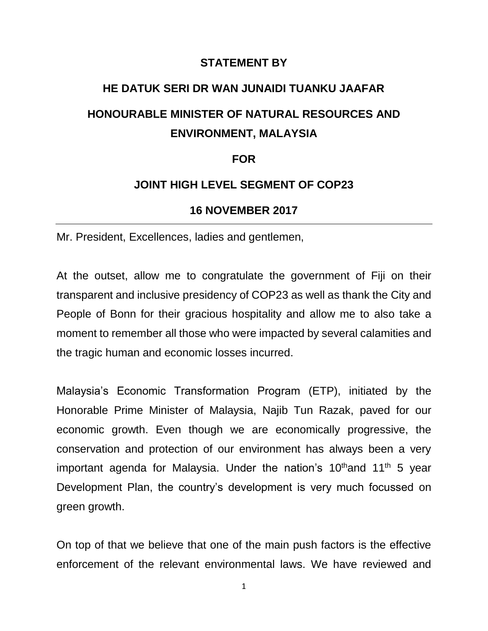# **STATEMENT BY**

# **HE DATUK SERI DR WAN JUNAIDI TUANKU JAAFAR HONOURABLE MINISTER OF NATURAL RESOURCES AND ENVIRONMENT, MALAYSIA**

#### **FOR**

## **JOINT HIGH LEVEL SEGMENT OF COP23**

### **16 NOVEMBER 2017**

Mr. President, Excellences, ladies and gentlemen,

At the outset, allow me to congratulate the government of Fiji on their transparent and inclusive presidency of COP23 as well as thank the City and People of Bonn for their gracious hospitality and allow me to also take a moment to remember all those who were impacted by several calamities and the tragic human and economic losses incurred.

Malaysia's Economic Transformation Program (ETP), initiated by the Honorable Prime Minister of Malaysia, Najib Tun Razak, paved for our economic growth. Even though we are economically progressive, the conservation and protection of our environment has always been a very important agenda for Malaysia. Under the nation's 10<sup>th</sup>and 11<sup>th</sup> 5 year Development Plan, the country's development is very much focussed on green growth.

On top of that we believe that one of the main push factors is the effective enforcement of the relevant environmental laws. We have reviewed and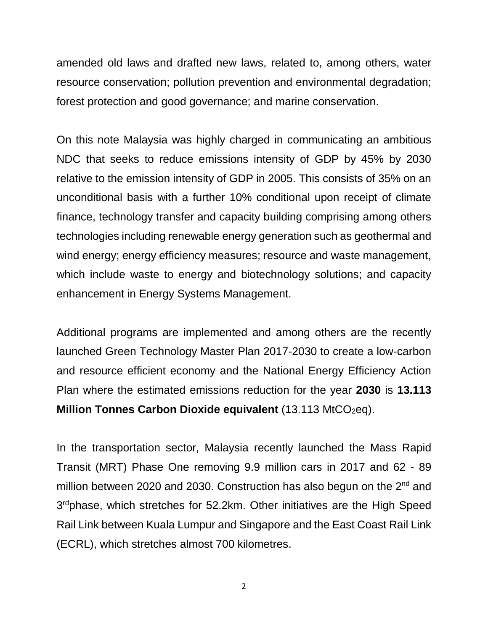amended old laws and drafted new laws, related to, among others, water resource conservation; pollution prevention and environmental degradation; forest protection and good governance; and marine conservation.

On this note Malaysia was highly charged in communicating an ambitious NDC that seeks to reduce emissions intensity of GDP by 45% by 2030 relative to the emission intensity of GDP in 2005. This consists of 35% on an unconditional basis with a further 10% conditional upon receipt of climate finance, technology transfer and capacity building comprising among others technologies including renewable energy generation such as geothermal and wind energy; energy efficiency measures; resource and waste management, which include waste to energy and biotechnology solutions; and capacity enhancement in Energy Systems Management.

Additional programs are implemented and among others are the recently launched Green Technology Master Plan 2017-2030 to create a low-carbon and resource efficient economy and the National Energy Efficiency Action Plan where the estimated emissions reduction for the year **2030** is **13.113 Million Tonnes Carbon Dioxide equivalent** (13.113 MtCO<sub>2</sub>eq).

In the transportation sector, Malaysia recently launched the Mass Rapid Transit (MRT) Phase One removing 9.9 million cars in 2017 and 62 - 89 million between 2020 and 2030. Construction has also begun on the 2<sup>nd</sup> and 3<sup>rd</sup>phase, which stretches for 52.2km. Other initiatives are the High Speed Rail Link between Kuala Lumpur and Singapore and the East Coast Rail Link (ECRL), which stretches almost 700 kilometres.

2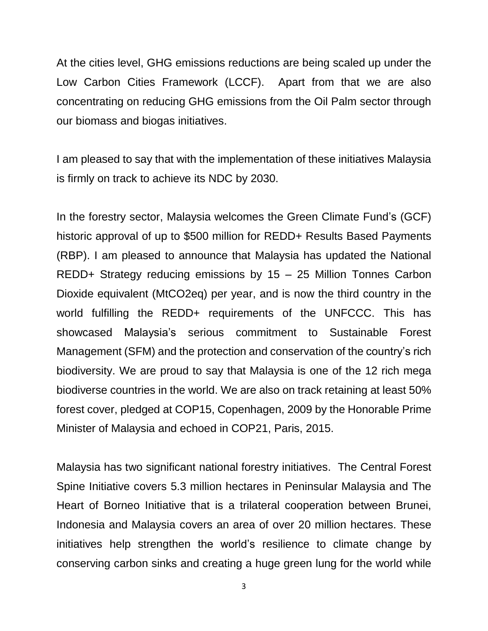At the cities level, GHG emissions reductions are being scaled up under the Low Carbon Cities Framework (LCCF). Apart from that we are also concentrating on reducing GHG emissions from the Oil Palm sector through our biomass and biogas initiatives.

I am pleased to say that with the implementation of these initiatives Malaysia is firmly on track to achieve its NDC by 2030.

In the forestry sector, Malaysia welcomes the Green Climate Fund's (GCF) historic approval of up to \$500 million for REDD+ Results Based Payments (RBP). I am pleased to announce that Malaysia has updated the National REDD+ Strategy reducing emissions by 15 – 25 Million Tonnes Carbon Dioxide equivalent (MtCO2eq) per year, and is now the third country in the world fulfilling the REDD+ requirements of the UNFCCC. This has showcased Malaysia's serious commitment to Sustainable Forest Management (SFM) and the protection and conservation of the country's rich biodiversity. We are proud to say that Malaysia is one of the 12 rich mega biodiverse countries in the world. We are also on track retaining at least 50% forest cover, pledged at COP15, Copenhagen, 2009 by the Honorable Prime Minister of Malaysia and echoed in COP21, Paris, 2015.

Malaysia has two significant national forestry initiatives. The Central Forest Spine Initiative covers 5.3 million hectares in Peninsular Malaysia and The Heart of Borneo Initiative that is a trilateral cooperation between Brunei, Indonesia and Malaysia covers an area of over 20 million hectares. These initiatives help strengthen the world's resilience to climate change by conserving carbon sinks and creating a huge green lung for the world while

3